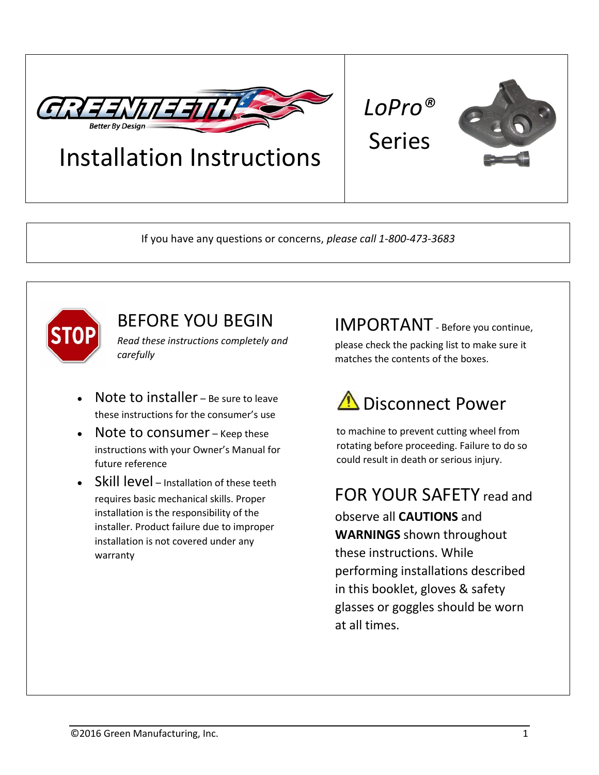

## Installation Instructions

If you have any questions or concerns, *please call 1-800-473-3683*



## BEFORE YOU BEGIN

*Read these instructions completely and carefully*

- Note to installer Be sure to leave these instructions for the consumer's use
- Note to consumer Keep these instructions with your Owner's Manual for future reference
- Skill level Installation of these teeth requires basic mechanical skills. Proper installation is the responsibility of the installer. Product failure due to improper installation is not covered under any warranty

IMPORTANT - Before you continue,

*LoPro®*

Series

please check the packing list to make sure it matches the contents of the boxes.

# Disconnect Power

to machine to prevent cutting wheel from rotating before proceeding. Failure to do so could result in death or serious injury.

FOR YOUR SAFETY read and observe all **CAUTIONS** and **WARNINGS** shown throughout these instructions. While performing installations described in this booklet, gloves & safety glasses or goggles should be worn at all times.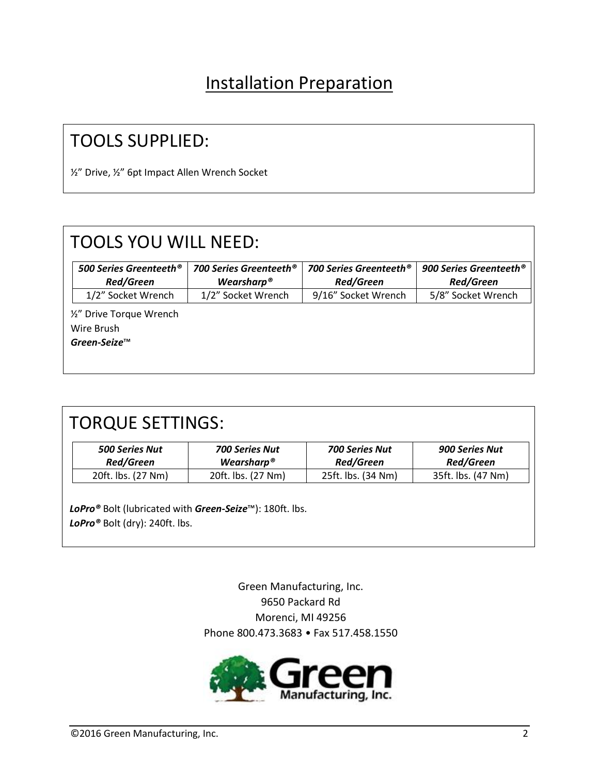### Installation Preparation

### TOOLS SUPPLIED:

½" Drive, ½" 6pt Impact Allen Wrench Socket

| <b>TOOLS YOU WILL NEED:</b>        |                        |                               |                                    |
|------------------------------------|------------------------|-------------------------------|------------------------------------|
| 500 Series Greenteeth <sup>®</sup> | 700 Series Greenteeth® | <b>700 Series Greenteeth®</b> | 900 Series Greenteeth <sup>®</sup> |
| <b>Red/Green</b>                   | Wearsharp <sup>®</sup> | <b>Red/Green</b>              | <b>Red/Green</b>                   |
| 1/2" Socket Wrench                 | 1/2" Socket Wrench     | 9/16" Socket Wrench           | 5/8" Socket Wrench                 |
| 1/2" Drive Torque Wrench           |                        |                               |                                    |
| Wire Brush                         |                        |                               |                                    |
| Green-Seize™                       |                        |                               |                                    |
|                                    |                        |                               |                                    |
|                                    |                        |                               |                                    |

| <b>500 Series Nut</b><br><b>Red/Green</b> | <b>700 Series Nut</b><br>Wearsharp <sup>®</sup> | <b>700 Series Nut</b><br><b>Red/Green</b> | <b>900 Series Nut</b><br><b>Red/Green</b> |
|-------------------------------------------|-------------------------------------------------|-------------------------------------------|-------------------------------------------|
| 20ft. lbs. (27 Nm)                        | 20ft. lbs. (27 Nm)                              | 25ft. lbs. (34 Nm)                        | 35ft. lbs. (47 Nm)                        |
|                                           |                                                 |                                           |                                           |

Green Manufacturing, Inc. 9650 Packard Rd Morenci, MI 49256 Phone 800.473.3683 • Fax 517.458.1550

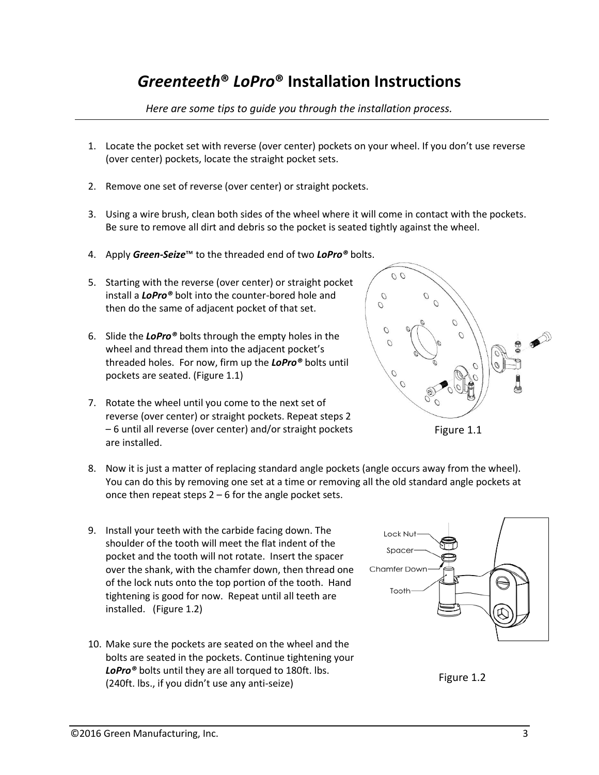### *Greenteeth***®** *LoPro***® Installation Instructions**

*Here are some tips to guide you through the installation process.*

- 1. Locate the pocket set with reverse (over center) pockets on your wheel. If you don't use reverse (over center) pockets, locate the straight pocket sets.
- 2. Remove one set of reverse (over center) or straight pockets.
- 3. Using a wire brush, clean both sides of the wheel where it will come in contact with the pockets. Be sure to remove all dirt and debris so the pocket is seated tightly against the wheel.
- 4. Apply *Green-Seize*™ to the threaded end of two *LoPro®* bolts.
- 5. Starting with the reverse (over center) or straight pocket install a *LoPro®* bolt into the counter-bored hole and then do the same of adjacent pocket of that set.
- 6. Slide the *LoPro®* bolts through the empty holes in the wheel and thread them into the adjacent pocket's threaded holes. For now, firm up the *LoPro®* bolts until pockets are seated. (Figure 1.1)
- 7. Rotate the wheel until you come to the next set of reverse (over center) or straight pockets. Repeat steps 2 – 6 until all reverse (over center) and/or straight pockets are installed.
- 8. Now it is just a matter of replacing standard angle pockets (angle occurs away from the wheel). You can do this by removing one set at a time or removing all the old standard angle pockets at once then repeat steps 2 – 6 for the angle pocket sets.
- 9. Install your teeth with the carbide facing down. The shoulder of the tooth will meet the flat indent of the pocket and the tooth will not rotate. Insert the spacer over the shank, with the chamfer down, then thread one of the lock nuts onto the top portion of the tooth. Hand tightening is good for now. Repeat until all teeth are installed. (Figure 1.2)
- 10. Make sure the pockets are seated on the wheel and the bolts are seated in the pockets. Continue tightening your *LoPro®* bolts until they are all torqued to 180ft. lbs. (240ft. lbs., if you didn't use any anti-seize)





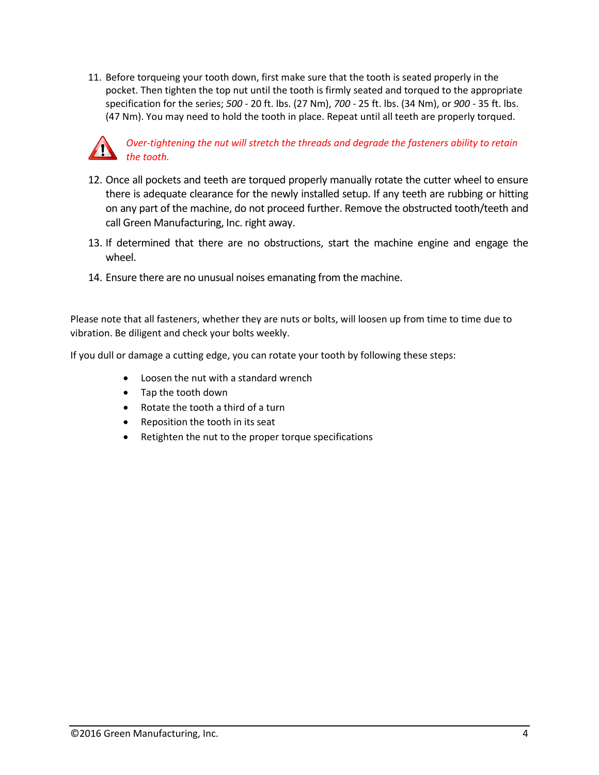11. Before torqueing your tooth down, first make sure that the tooth is seated properly in the pocket. Then tighten the top nut until the tooth is firmly seated and torqued to the appropriate specification for the series; *500 -* 20 ft. lbs. (27 Nm), *700* - 25 ft. lbs. (34 Nm), or *900* - 35 ft. lbs. (47 Nm). You may need to hold the tooth in place. Repeat until all teeth are properly torqued.



- 12. Once all pockets and teeth are torqued properly manually rotate the cutter wheel to ensure there is adequate clearance for the newly installed setup. If any teeth are rubbing or hitting on any part of the machine, do not proceed further. Remove the obstructed tooth/teeth and call Green Manufacturing, Inc. right away.
- 13. If determined that there are no obstructions, start the machine engine and engage the wheel.
- 14. Ensure there are no unusual noises emanating from the machine.

Please note that all fasteners, whether they are nuts or bolts, will loosen up from time to time due to vibration. Be diligent and check your bolts weekly.

If you dull or damage a cutting edge, you can rotate your tooth by following these steps:

- Loosen the nut with a standard wrench
- Tap the tooth down
- Rotate the tooth a third of a turn
- Reposition the tooth in its seat
- Retighten the nut to the proper torque specifications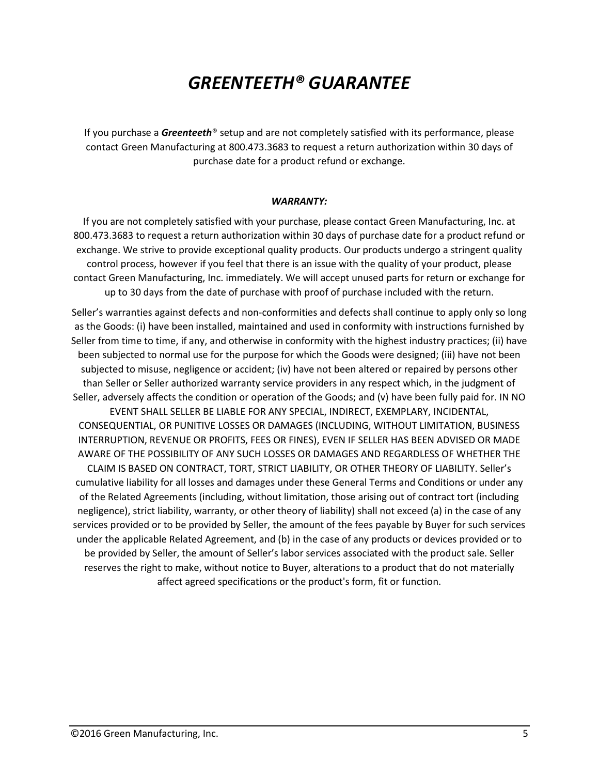### *GREENTEETH® GUARANTEE*

If you purchase a *Greenteeth*® setup and are not completely satisfied with its performance, please contact Green Manufacturing at 800.473.3683 to request a return authorization within 30 days of purchase date for a product refund or exchange.

#### *WARRANTY:*

If you are not completely satisfied with your purchase, please contact Green Manufacturing, Inc. at 800.473.3683 to request a return authorization within 30 days of purchase date for a product refund or exchange. We strive to provide exceptional quality products. Our products undergo a stringent quality control process, however if you feel that there is an issue with the quality of your product, please contact Green Manufacturing, Inc. immediately. We will accept unused parts for return or exchange for up to 30 days from the date of purchase with proof of purchase included with the return.

Seller's warranties against defects and non-conformities and defects shall continue to apply only so long as the Goods: (i) have been installed, maintained and used in conformity with instructions furnished by Seller from time to time, if any, and otherwise in conformity with the highest industry practices; (ii) have been subjected to normal use for the purpose for which the Goods were designed; (iii) have not been subjected to misuse, negligence or accident; (iv) have not been altered or repaired by persons other than Seller or Seller authorized warranty service providers in any respect which, in the judgment of Seller, adversely affects the condition or operation of the Goods; and (v) have been fully paid for. IN NO EVENT SHALL SELLER BE LIABLE FOR ANY SPECIAL, INDIRECT, EXEMPLARY, INCIDENTAL, CONSEQUENTIAL, OR PUNITIVE LOSSES OR DAMAGES (INCLUDING, WITHOUT LIMITATION, BUSINESS INTERRUPTION, REVENUE OR PROFITS, FEES OR FINES), EVEN IF SELLER HAS BEEN ADVISED OR MADE AWARE OF THE POSSIBILITY OF ANY SUCH LOSSES OR DAMAGES AND REGARDLESS OF WHETHER THE CLAIM IS BASED ON CONTRACT, TORT, STRICT LIABILITY, OR OTHER THEORY OF LIABILITY. Seller's cumulative liability for all losses and damages under these General Terms and Conditions or under any of the Related Agreements (including, without limitation, those arising out of contract tort (including negligence), strict liability, warranty, or other theory of liability) shall not exceed (a) in the case of any services provided or to be provided by Seller, the amount of the fees payable by Buyer for such services under the applicable Related Agreement, and (b) in the case of any products or devices provided or to be provided by Seller, the amount of Seller's labor services associated with the product sale. Seller

reserves the right to make, without notice to Buyer, alterations to a product that do not materially affect agreed specifications or the product's form, fit or function.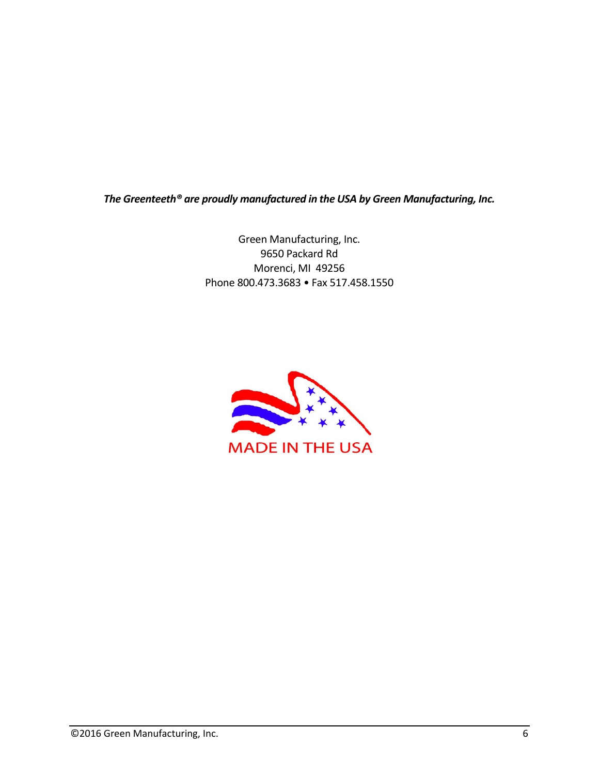*The Greenteeth® are proudly manufactured in the USA by Green Manufacturing, Inc.*

Green Manufacturing, Inc. 9650 Packard Rd Morenci, MI 49256 Phone 800.473.3683 • Fax 517.458.1550

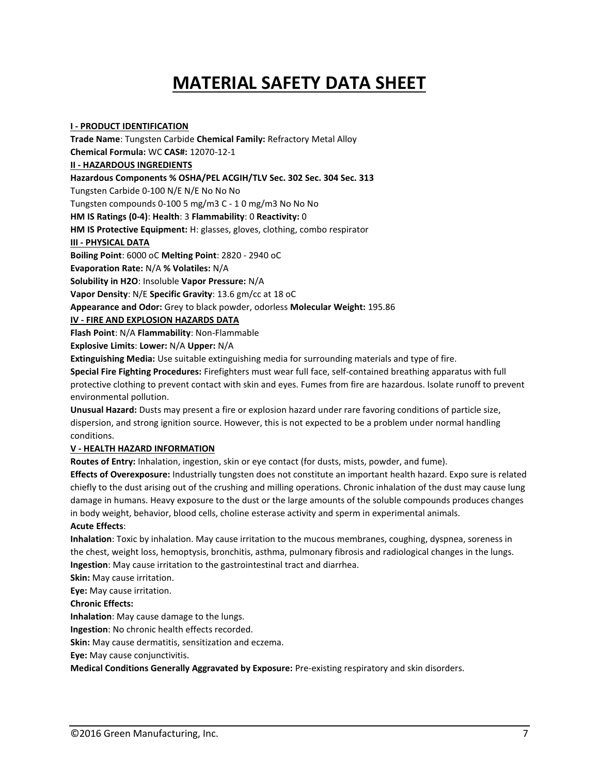## **MATERIAL SAFETY DATA SHEET**

**I - PRODUCT IDENTIFICATION Trade Name**: Tungsten Carbide **Chemical Family:** Refractory Metal Alloy **Chemical Formula:** WC **CAS#:** 12070-12-1 **II - HAZARDOUS INGREDIENTS Hazardous Components % OSHA/PEL ACGIH/TLV Sec. 302 Sec. 304 Sec. 313** Tungsten Carbide 0-100 N/E N/E No No No Tungsten compounds 0-100 5 mg/m3 C - 1 0 mg/m3 No No No **HM IS Ratings (0-4)**: **Health**: 3 **Flammability**: 0 **Reactivity:** 0 **HM IS Protective Equipment:** H: glasses, gloves, clothing, combo respirator **III - PHYSICAL DATA Boiling Point**: 6000 oC **Melting Point**: 2820 - 2940 oC **Evaporation Rate:** N/A **% Volatiles:** N/A **Solubility in H2O**: Insoluble **Vapor Pressure:** N/A **Vapor Density**: N/E **Specific Gravity**: 13.6 gm/cc at 18 oC **Appearance and Odor:** Grey to black powder, odorless **Molecular Weight:** 195.86 **IV - FIRE AND EXPLOSION HAZARDS DATA Flash Point**: N/A **Flammability**: Non-Flammable

**Explosive Limits**: **Lower:** N/A **Upper:** N/A

**Extinguishing Media:** Use suitable extinguishing media for surrounding materials and type of fire.

**Special Fire Fighting Procedures:** Firefighters must wear full face, self-contained breathing apparatus with full protective clothing to prevent contact with skin and eyes. Fumes from fire are hazardous. Isolate runoff to prevent environmental pollution.

**Unusual Hazard:** Dusts may present a fire or explosion hazard under rare favoring conditions of particle size, dispersion, and strong ignition source. However, this is not expected to be a problem under normal handling conditions.

#### **V - HEALTH HAZARD INFORMATION**

**Routes of Entry:** Inhalation, ingestion, skin or eye contact (for dusts, mists, powder, and fume).

**Effects of Overexposure:** Industrially tungsten does not constitute an important health hazard. Expo sure is related chiefly to the dust arising out of the crushing and milling operations. Chronic inhalation of the dust may cause lung damage in humans. Heavy exposure to the dust or the large amounts of the soluble compounds produces changes in body weight, behavior, blood cells, choline esterase activity and sperm in experimental animals.

#### **Acute Effects**:

**Inhalation**: Toxic by inhalation. May cause irritation to the mucous membranes, coughing, dyspnea, soreness in the chest, weight loss, hemoptysis, bronchitis, asthma, pulmonary fibrosis and radiological changes in the lungs. **Ingestion**: May cause irritation to the gastrointestinal tract and diarrhea.

**Skin:** May cause irritation.

**Eye:** May cause irritation.

**Chronic Effects:**

**Inhalation**: May cause damage to the lungs.

**Ingestion**: No chronic health effects recorded.

**Skin:** May cause dermatitis, sensitization and eczema.

**Eye:** May cause conjunctivitis.

**Medical Conditions Generally Aggravated by Exposure:** Pre-existing respiratory and skin disorders.